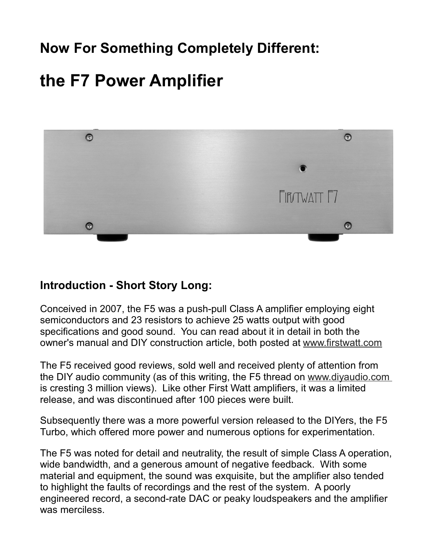# **Now For Something Completely Different:**

# **the F7 Power Amplifier**



#### **Introduction - Short Story Long:**

Conceived in 2007, the F5 was a push-pull Class A amplifier employing eight semiconductors and 23 resistors to achieve 25 watts output with good specifications and good sound. You can read about it in detail in both the owner's manual and DIY construction article, both posted at www.firstwatt.com

The F5 received good reviews, sold well and received plenty of attention from the DIY audio community (as of this writing, the F5 thread on www.diyaudio.com is cresting 3 million views). Like other First Watt amplifiers, it was a limited release, and was discontinued after 100 pieces were built.

Subsequently there was a more powerful version released to the DIYers, the F5 Turbo, which offered more power and numerous options for experimentation.

The F5 was noted for detail and neutrality, the result of simple Class A operation, wide bandwidth, and a generous amount of negative feedback. With some material and equipment, the sound was exquisite, but the amplifier also tended to highlight the faults of recordings and the rest of the system. A poorly engineered record, a second-rate DAC or peaky loudspeakers and the amplifier was merciless.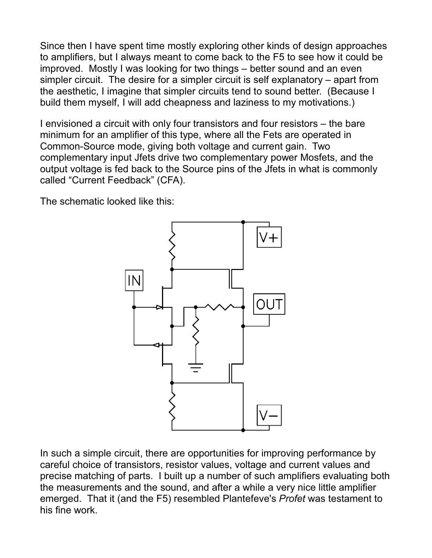Since then I have spent time mostly exploring other kinds of design approaches to amplifiers, but I always meant to come back to the F5 to see how it could be improved. Mostly I was looking for two things – better sound and an even simpler circuit. The desire for a simpler circuit is self explanatory – apart from the aesthetic, I imagine that simpler circuits tend to sound better. (Because I build them myself, I will add cheapness and laziness to my motivations.)

I envisioned a circuit with only four transistors and four resistors – the bare minimum for an amplifier of this type, where all the Fets are operated in Common-Source mode, giving both voltage and current gain. Two complementary input Jfets drive two complementary power Mosfets, and the output voltage is fed back to the Source pins of the Jfets in what is commonly called "Current Feedback" (CFA).

The schematic looked like this:



In such a simple circuit, there are opportunities for improving performance by careful choice of transistors, resistor values, voltage and current values and precise matching of parts. I built up a number of such amplifiers evaluating both the measurements and the sound, and after a while a very nice little amplifier emerged. That it (and the F5) resembled Plantefeve's *Profet* was testament to his fine work.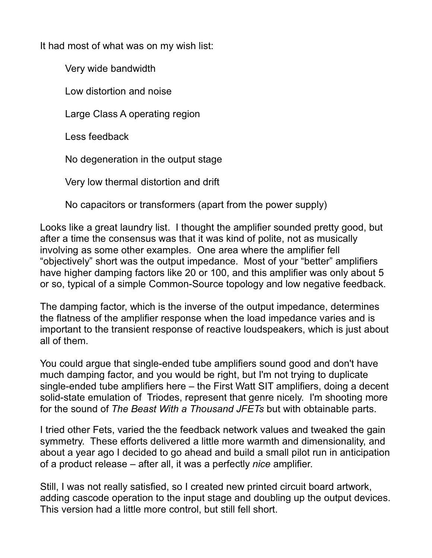It had most of what was on my wish list:

Very wide bandwidth

Low distortion and noise

Large Class A operating region

Less feedback

No degeneration in the output stage

Very low thermal distortion and drift

No capacitors or transformers (apart from the power supply)

Looks like a great laundry list. I thought the amplifier sounded pretty good, but after a time the consensus was that it was kind of polite, not as musically involving as some other examples. One area where the amplifier fell "objectively" short was the output impedance. Most of your "better" amplifiers have higher damping factors like 20 or 100, and this amplifier was only about 5 or so, typical of a simple Common-Source topology and low negative feedback.

The damping factor, which is the inverse of the output impedance, determines the flatness of the amplifier response when the load impedance varies and is important to the transient response of reactive loudspeakers, which is just about all of them.

You could argue that single-ended tube amplifiers sound good and don't have much damping factor, and you would be right, but I'm not trying to duplicate single-ended tube amplifiers here – the First Watt SIT amplifiers, doing a decent solid-state emulation of Triodes, represent that genre nicely. I'm shooting more for the sound of *The Beast With a Thousand JFETs* but with obtainable parts.

I tried other Fets, varied the the feedback network values and tweaked the gain symmetry. These efforts delivered a little more warmth and dimensionality, and about a year ago I decided to go ahead and build a small pilot run in anticipation of a product release – after all, it was a perfectly *nice* amplifier.

Still, I was not really satisfied, so I created new printed circuit board artwork, adding cascode operation to the input stage and doubling up the output devices. This version had a little more control, but still fell short.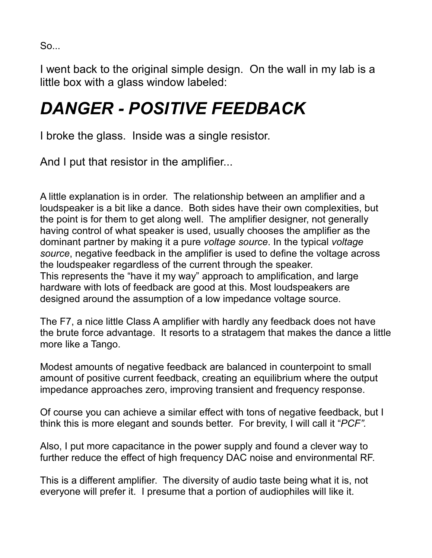So...

I went back to the original simple design. On the wall in my lab is a little box with a glass window labeled:

# *DANGER - POSITIVE FEEDBACK*

I broke the glass. Inside was a single resistor.

And I put that resistor in the amplifier...

A little explanation is in order. The relationship between an amplifier and a loudspeaker is a bit like a dance. Both sides have their own complexities, but the point is for them to get along well. The amplifier designer, not generally having control of what speaker is used, usually chooses the amplifier as the dominant partner by making it a pure *voltage source*. In the typical *voltage source*, negative feedback in the amplifier is used to define the voltage across the loudspeaker regardless of the current through the speaker. This represents the "have it my way" approach to amplification, and large hardware with lots of feedback are good at this. Most loudspeakers are designed around the assumption of a low impedance voltage source.

The F7, a nice little Class A amplifier with hardly any feedback does not have the brute force advantage. It resorts to a stratagem that makes the dance a little more like a Tango.

Modest amounts of negative feedback are balanced in counterpoint to small amount of positive current feedback, creating an equilibrium where the output impedance approaches zero, improving transient and frequency response.

Of course you can achieve a similar effect with tons of negative feedback, but I think this is more elegant and sounds better. For brevity, I will call it "*PCF".*

Also, I put more capacitance in the power supply and found a clever way to further reduce the effect of high frequency DAC noise and environmental RF.

This is a different amplifier. The diversity of audio taste being what it is, not everyone will prefer it. I presume that a portion of audiophiles will like it.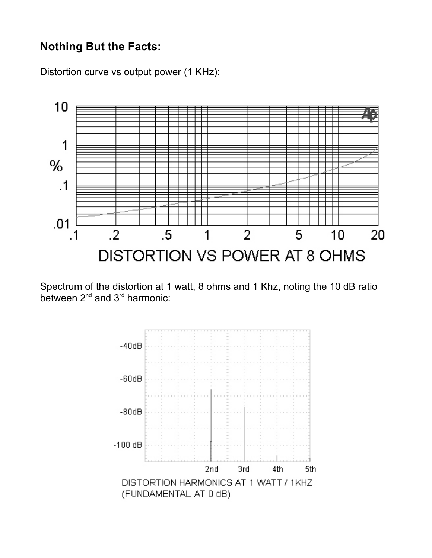#### **Nothing But the Facts:**

Distortion curve vs output power (1 KHz):



Spectrum of the distortion at 1 watt, 8 ohms and 1 Khz, noting the 10 dB ratio between 2<sup>nd</sup> and 3<sup>rd</sup> harmonic:

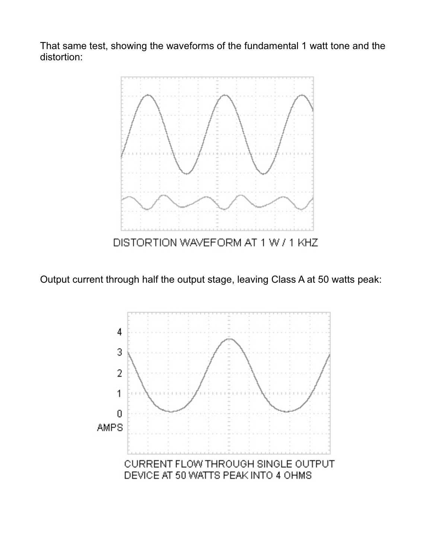That same test, showing the waveforms of the fundamental 1 watt tone and the distortion:



Output current through half the output stage, leaving Class A at 50 watts peak:

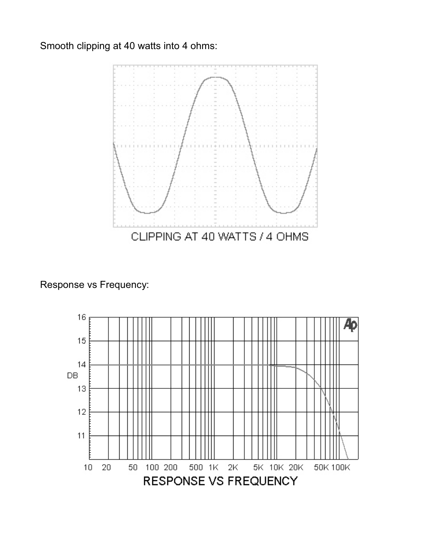Smooth clipping at 40 watts into 4 ohms:



Response vs Frequency:

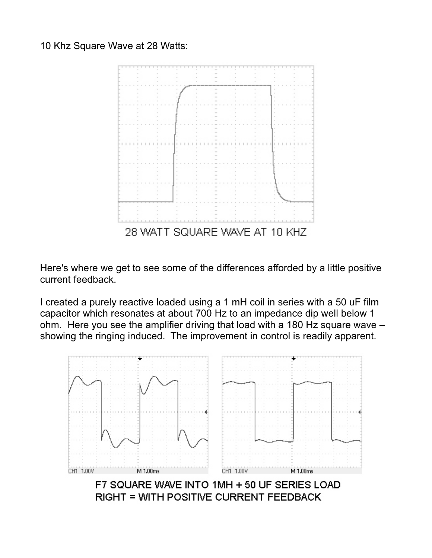10 Khz Square Wave at 28 Watts:



Here's where we get to see some of the differences afforded by a little positive current feedback.

I created a purely reactive loaded using a 1 mH coil in series with a 50 uF film capacitor which resonates at about 700 Hz to an impedance dip well below 1 ohm. Here you see the amplifier driving that load with a 180 Hz square wave – showing the ringing induced. The improvement in control is readily apparent.



F7 SQUARE WAVE INTO 1MH + 50 UF SERIES LOAD **RIGHT = WITH POSITIVE CURRENT FEEDBACK**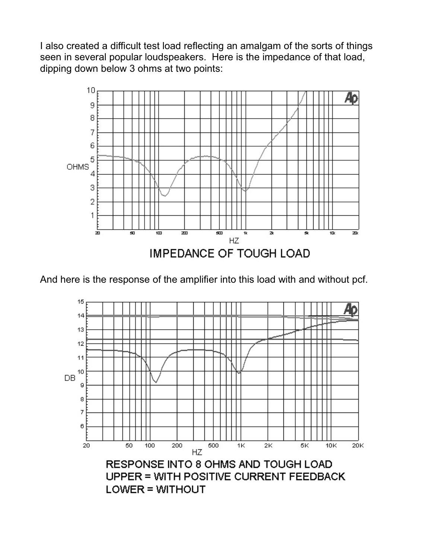I also created a difficult test load reflecting an amalgam of the sorts of things seen in several popular loudspeakers. Here is the impedance of that load, dipping down below 3 ohms at two points:



And here is the response of the amplifier into this load with and without pcf.

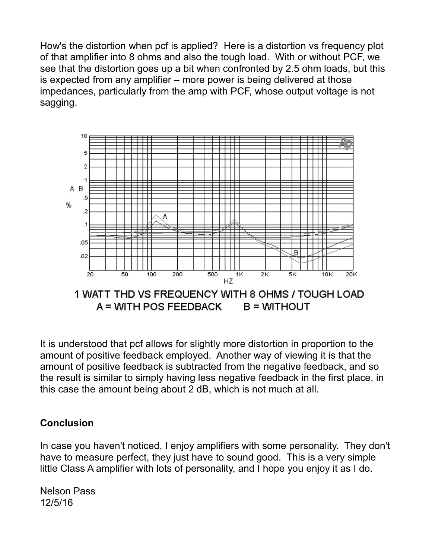How's the distortion when pcf is applied? Here is a distortion vs frequency plot of that amplifier into 8 ohms and also the tough load. With or without PCF, we see that the distortion goes up a bit when confronted by 2.5 ohm loads, but this is expected from any amplifier – more power is being delivered at those impedances, particularly from the amp with PCF, whose output voltage is not sagging.



It is understood that pcf allows for slightly more distortion in proportion to the amount of positive feedback employed. Another way of viewing it is that the amount of positive feedback is subtracted from the negative feedback, and so the result is similar to simply having less negative feedback in the first place, in this case the amount being about 2 dB, which is not much at all.

#### **Conclusion**

In case you haven't noticed, I enjoy amplifiers with some personality. They don't have to measure perfect, they just have to sound good. This is a very simple little Class A amplifier with lots of personality, and I hope you enjoy it as I do.

Nelson Pass 12/5/16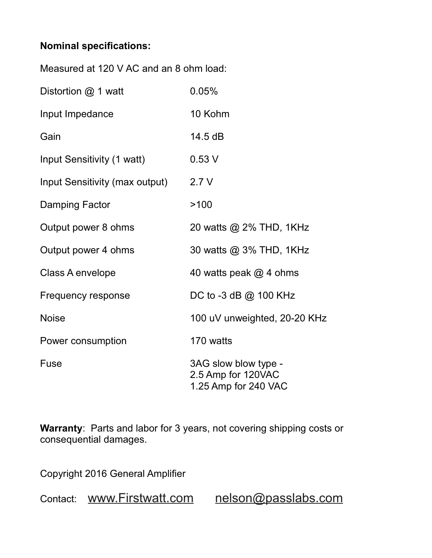#### **Nominal specifications:**

| Measured at 120 V AC and an 8 ohm load: |                                                                    |
|-----------------------------------------|--------------------------------------------------------------------|
| Distortion @ 1 watt                     | 0.05%                                                              |
| Input Impedance                         | 10 Kohm                                                            |
| Gain                                    | 14.5 dB                                                            |
| Input Sensitivity (1 watt)              | 0.53V                                                              |
| Input Sensitivity (max output)          | 2.7V                                                               |
| Damping Factor                          | >100                                                               |
| Output power 8 ohms                     | 20 watts @ 2% THD, 1KHz                                            |
| Output power 4 ohms                     | 30 watts @ 3% THD, 1KHz                                            |
| Class A envelope                        | 40 watts peak $@$ 4 ohms                                           |
| Frequency response                      | DC to -3 dB @ 100 KHz                                              |
| <b>Noise</b>                            | 100 uV unweighted, 20-20 KHz                                       |
| Power consumption                       | 170 watts                                                          |
| Fuse                                    | 3AG slow blow type -<br>2.5 Amp for 120VAC<br>1.25 Amp for 240 VAC |

**Warranty**: Parts and labor for 3 years, not covering shipping costs or consequential damages.

Copyright 2016 General Amplifier

Contact: www.Firstwatt.com nelson@passlabs.com